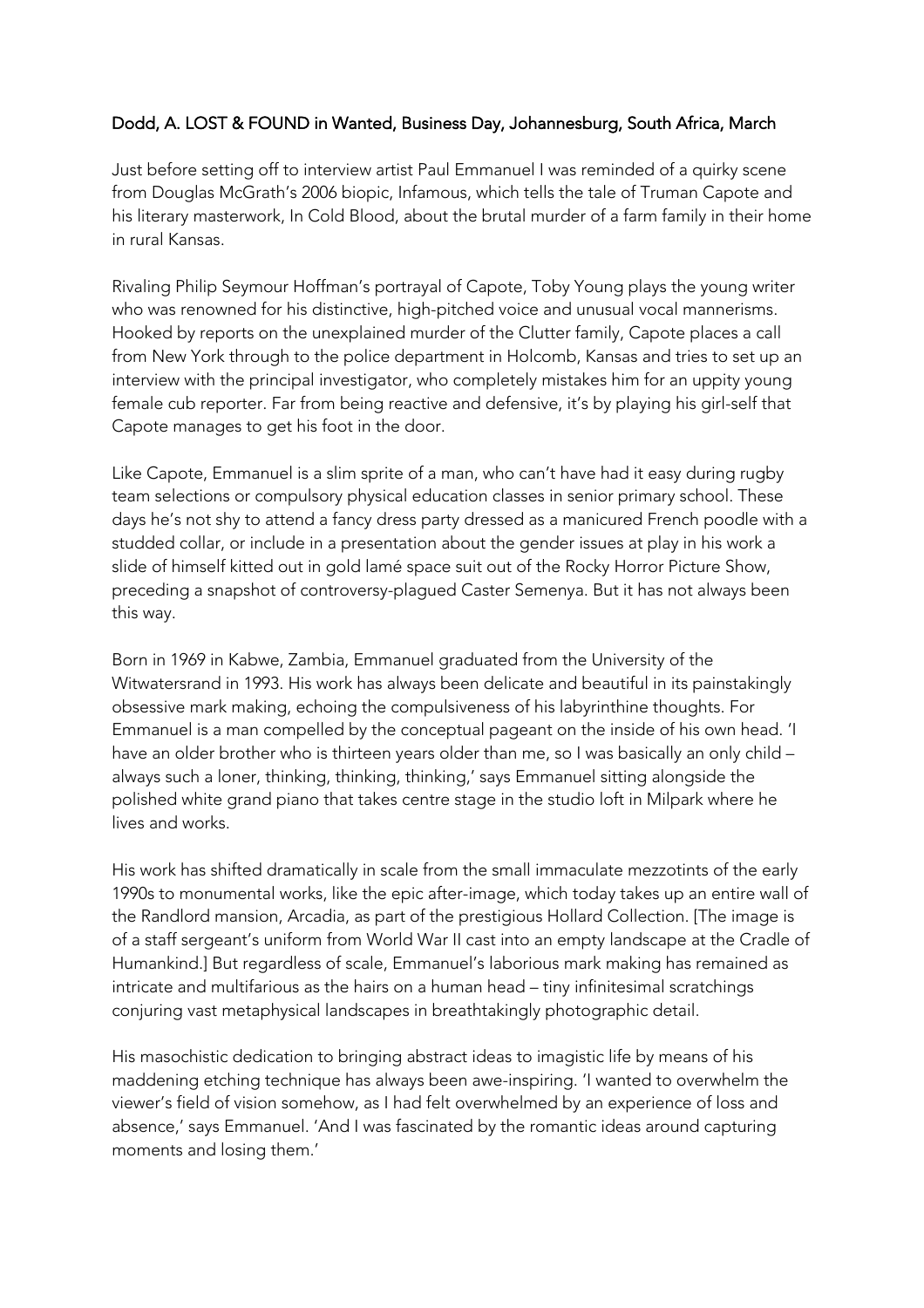## Dodd, A. LOST & FOUND in Wanted, Business Day, Johannesburg, South Africa, March

Just before setting off to interview artist Paul Emmanuel I was reminded of a quirky scene from Douglas McGrath's 2006 biopic, Infamous, which tells the tale of Truman Capote and his literary masterwork, In Cold Blood, about the brutal murder of a farm family in their home in rural Kansas.

Rivaling Philip Seymour Hoffman's portrayal of Capote, Toby Young plays the young writer who was renowned for his distinctive, high-pitched voice and unusual vocal mannerisms. Hooked by reports on the unexplained murder of the Clutter family, Capote places a call from New York through to the police department in Holcomb, Kansas and tries to set up an interview with the principal investigator, who completely mistakes him for an uppity young female cub reporter. Far from being reactive and defensive, it's by playing his girl-self that Capote manages to get his foot in the door.

Like Capote, Emmanuel is a slim sprite of a man, who can't have had it easy during rugby team selections or compulsory physical education classes in senior primary school. These days he's not shy to attend a fancy dress party dressed as a manicured French poodle with a studded collar, or include in a presentation about the gender issues at play in his work a slide of himself kitted out in gold lamé space suit out of the Rocky Horror Picture Show, preceding a snapshot of controversy-plagued Caster Semenya. But it has not always been this way.

Born in 1969 in Kabwe, Zambia, Emmanuel graduated from the University of the Witwatersrand in 1993. His work has always been delicate and beautiful in its painstakingly obsessive mark making, echoing the compulsiveness of his labyrinthine thoughts. For Emmanuel is a man compelled by the conceptual pageant on the inside of his own head. 'I have an older brother who is thirteen years older than me, so I was basically an only child – always such a loner, thinking, thinking, thinking,' says Emmanuel sitting alongside the polished white grand piano that takes centre stage in the studio loft in Milpark where he lives and works.

His work has shifted dramatically in scale from the small immaculate mezzotints of the early 1990s to monumental works, like the epic after-image, which today takes up an entire wall of the Randlord mansion, Arcadia, as part of the prestigious Hollard Collection. [The image is of a staff sergeant's uniform from World War II cast into an empty landscape at the Cradle of Humankind.] But regardless of scale, Emmanuel's laborious mark making has remained as intricate and multifarious as the hairs on a human head – tiny infinitesimal scratchings conjuring vast metaphysical landscapes in breathtakingly photographic detail.

His masochistic dedication to bringing abstract ideas to imagistic life by means of his maddening etching technique has always been awe-inspiring. 'I wanted to overwhelm the viewer's field of vision somehow, as I had felt overwhelmed by an experience of loss and absence,' says Emmanuel. 'And I was fascinated by the romantic ideas around capturing moments and losing them.'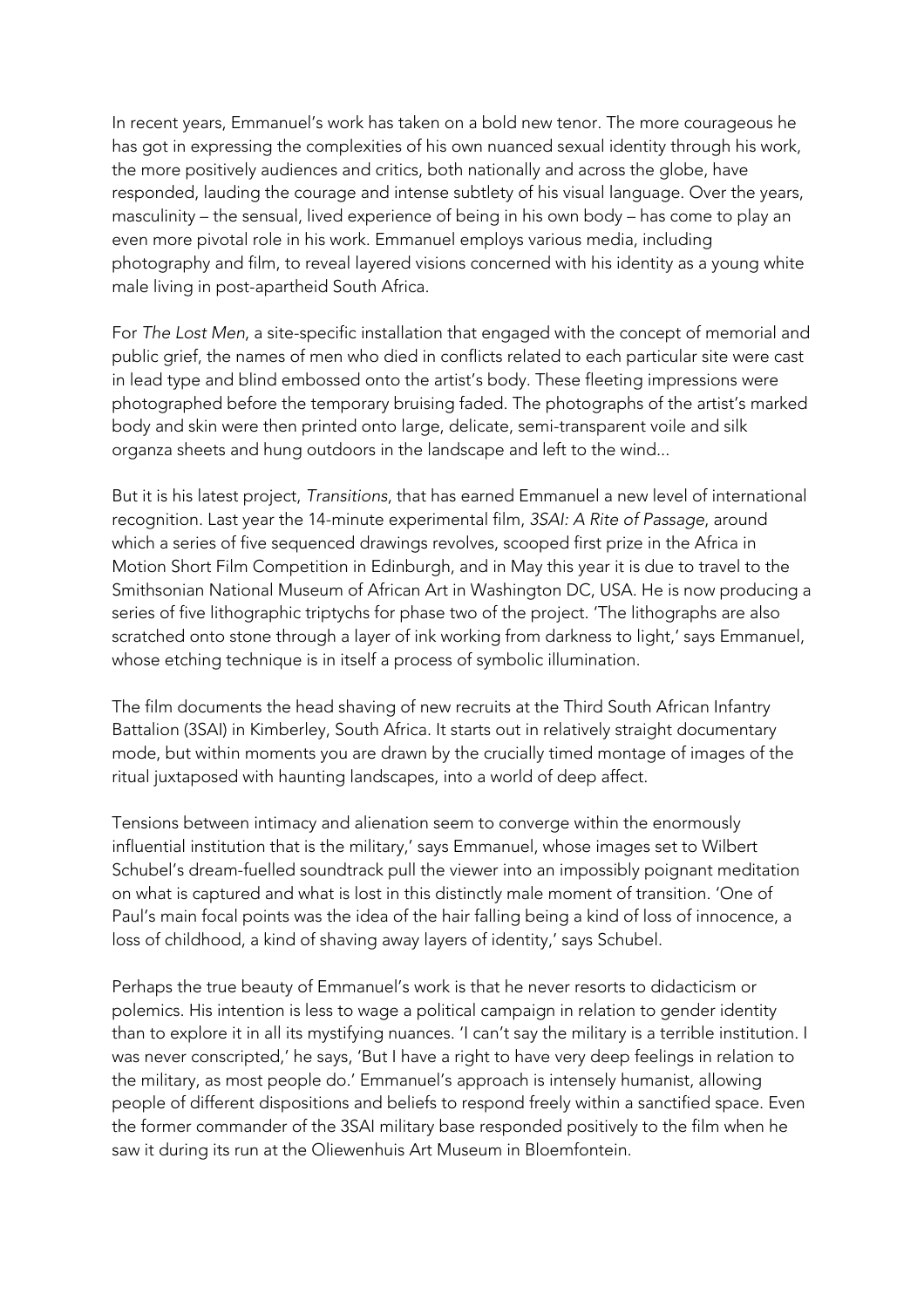In recent years, Emmanuel's work has taken on a bold new tenor. The more courageous he has got in expressing the complexities of his own nuanced sexual identity through his work, the more positively audiences and critics, both nationally and across the globe, have responded, lauding the courage and intense subtlety of his visual language. Over the years, masculinity – the sensual, lived experience of being in his own body – has come to play an even more pivotal role in his work. Emmanuel employs various media, including photography and film, to reveal layered visions concerned with his identity as a young white male living in post-apartheid South Africa.

For *The Lost Men*, a site-specific installation that engaged with the concept of memorial and public grief, the names of men who died in conflicts related to each particular site were cast in lead type and blind embossed onto the artist's body. These fleeting impressions were photographed before the temporary bruising faded. The photographs of the artist's marked body and skin were then printed onto large, delicate, semi-transparent voile and silk organza sheets and hung outdoors in the landscape and left to the wind...

But it is his latest project, *Transitions*, that has earned Emmanuel a new level of international recognition. Last year the 14-minute experimental film, *3SAI: A Rite of Passage*, around which a series of five sequenced drawings revolves, scooped first prize in the Africa in Motion Short Film Competition in Edinburgh, and in May this year it is due to travel to the Smithsonian National Museum of African Art in Washington DC, USA. He is now producing a series of five lithographic triptychs for phase two of the project. 'The lithographs are also scratched onto stone through a layer of ink working from darkness to light,' says Emmanuel, whose etching technique is in itself a process of symbolic illumination.

The film documents the head shaving of new recruits at the Third South African Infantry Battalion (3SAI) in Kimberley, South Africa. It starts out in relatively straight documentary mode, but within moments you are drawn by the crucially timed montage of images of the ritual juxtaposed with haunting landscapes, into a world of deep affect.

Tensions between intimacy and alienation seem to converge within the enormously influential institution that is the military,' says Emmanuel, whose images set to Wilbert Schubel's dream-fuelled soundtrack pull the viewer into an impossibly poignant meditation on what is captured and what is lost in this distinctly male moment of transition. 'One of Paul's main focal points was the idea of the hair falling being a kind of loss of innocence, a loss of childhood, a kind of shaving away layers of identity,' says Schubel.

Perhaps the true beauty of Emmanuel's work is that he never resorts to didacticism or polemics. His intention is less to wage a political campaign in relation to gender identity than to explore it in all its mystifying nuances. 'I can't say the military is a terrible institution. I was never conscripted,' he says, 'But I have a right to have very deep feelings in relation to the military, as most people do.' Emmanuel's approach is intensely humanist, allowing people of different dispositions and beliefs to respond freely within a sanctified space. Even the former commander of the 3SAI military base responded positively to the film when he saw it during its run at the Oliewenhuis Art Museum in Bloemfontein.